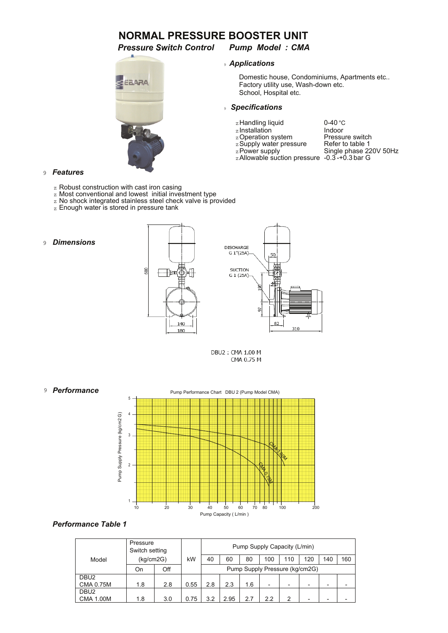# **NORMAL PRESSURE BOOSTER UNIT**

*Pressure Switch Control Pump Model : CMA*

# EEARA

## <sup>9</sup> *Applications*

Domestic house, Condominiums, Apartments etc.. Factory utility use, Wash-down etc. School, Hospital etc.

### <sup>9</sup> *Specifications*

- zHandling liquid 6-40
- z Installation **Indoor**
- 
- z Supply water pressure<br>  $z$  Power supply

z Operation system Pressure switch<br>z Supply water pressure Refer to table 1 Single phase  $220V$  50Hz<br> $-0.3 - +0.3$  bar G 0-40 °C<br>Indoor

 $z$ Allowable suction pressure

### 9 *Features*

- z Robust construction with cast iron casing
- z Most conventional and lowest initial investment type
- z No shock integrated stainless steel check valve is provided
- z Enough water is stored in pressure tank
- 9 *Dimensions*





DBU2: CMA 1.00 M CMA 0.75 M



### *Performance Table 1*

|                                      | Pressure<br>Switch setting<br>(kq/cm2G) |     |      | Pump Supply Capacity (L/min)   |      |     |                          |     |                          |     |     |  |
|--------------------------------------|-----------------------------------------|-----|------|--------------------------------|------|-----|--------------------------|-----|--------------------------|-----|-----|--|
| Model                                |                                         |     | kW   | 40                             | 60   | 80  | 100                      | 110 | 120                      | 140 | 160 |  |
|                                      | On                                      | Off |      | Pump Supply Pressure (kg/cm2G) |      |     |                          |     |                          |     |     |  |
| DBU <sub>2</sub><br><b>CMA 0.75M</b> | 1.8                                     | 2.8 | 0.55 | 2.8                            | 2.3  | 1.6 | $\overline{\phantom{0}}$ | -   | $\overline{\phantom{0}}$ | -   |     |  |
| DBU <sub>2</sub><br><b>CMA 1.00M</b> | 1.8                                     | 3.0 | 0.75 | 3.2                            | 2.95 | 2.7 | 2.2                      | າ   | $\overline{\phantom{a}}$ |     |     |  |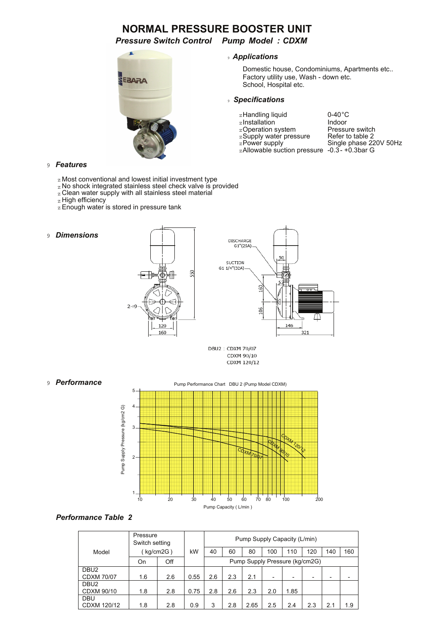# **NORMAL PRESSURE BOOSTER UNIT**

*Pressure Switch Control Pump Model : CDXM*



### <sup>9</sup> *Applications*

Domestic house, Condominiums, Apartments etc.. Factory utility use, Wash - down etc. School, Hospital etc.

### <sup>9</sup> *Specifications*

- zHandling liquid  $0-40^{\circ}$ C<br>zInstallation by Indoor
- 
- 
- 
- zAllowable suction pressure -0.3- +0.3bar G

zInstallation Indoor<br>
zOperation system Pressure switch<br>
zSupply water pressure Refer to table 2 zOperation system Pressure switch z Supply water pressure Refer to table 2 zPower supply Single phase 220V 50Hz

### 9 *Features*

- z Most conventional and lowest initial investment type
- z No shock integrated stainless steel check valve is provided
- z Clean water supply with all stainless steel material
- z High efficiency
- **z** Enough water is stored in pressure tank
- 9 *Dimensions*





DBU2: CDXM 70/07 CDXM 90/10 CDXM 120/12



### *Performance Table 2*

|                   | Pressure<br>Switch setting<br>kg/cm2G) |     |      | Pump Supply Capacity (L/min) |     |                                |                          |                          |                          |     |     |  |  |  |
|-------------------|----------------------------------------|-----|------|------------------------------|-----|--------------------------------|--------------------------|--------------------------|--------------------------|-----|-----|--|--|--|
| Model             |                                        |     | kW   | 40                           | 60  | 80                             | 100                      | 110                      | 120                      | 140 | 160 |  |  |  |
|                   | Off<br>On                              |     |      |                              |     | Pump Supply Pressure (kg/cm2G) |                          |                          |                          |     |     |  |  |  |
| DBU <sub>2</sub>  |                                        |     |      |                              |     |                                |                          |                          |                          |     |     |  |  |  |
| <b>CDXM 70/07</b> | 1.6                                    | 2.6 | 0.55 | 2.6                          | 2.3 | 2.1                            | $\overline{\phantom{0}}$ | $\overline{\phantom{0}}$ | $\overline{\phantom{0}}$ |     |     |  |  |  |
| DBU <sub>2</sub>  |                                        |     |      |                              |     |                                |                          |                          |                          |     |     |  |  |  |
| CDXM 90/10        | 1.8                                    | 2.8 | 0.75 | 2.8                          | 2.6 | 2.3                            | 2.0                      | 1.85                     |                          |     |     |  |  |  |
| <b>DBU</b>        |                                        |     |      |                              |     |                                |                          |                          |                          |     |     |  |  |  |
| CDXM 120/12       | 1.8                                    | 2.8 | 0.9  | 3                            | 2.8 | 2.65                           | 2.5                      | 2.4                      | 2.3                      | 2.1 | 1.9 |  |  |  |